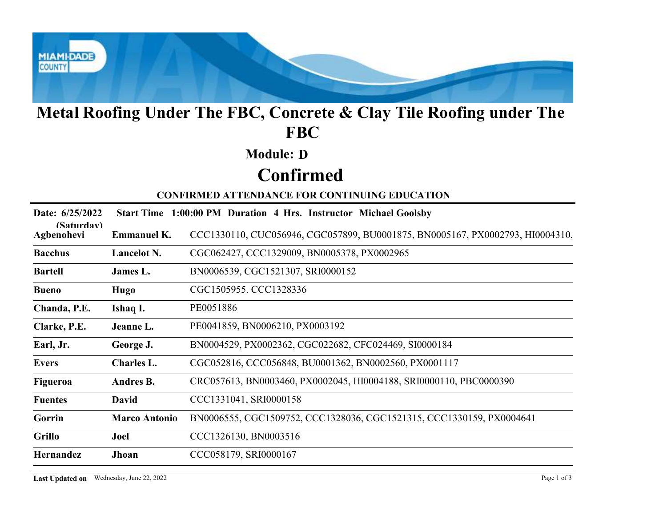

## Metal Roofing Under The FBC, Concrete & Clay Tile Roofing under The FBC

### Module: D

# Confirmed

| Metal Roofing Under The FBC, Concrete & Clay Tile Roofing under The<br><b>FBC</b> |                                                                  |                                                                               |  |  |
|-----------------------------------------------------------------------------------|------------------------------------------------------------------|-------------------------------------------------------------------------------|--|--|
|                                                                                   |                                                                  | <b>Module: D</b>                                                              |  |  |
|                                                                                   | <b>Confirmed</b>                                                 |                                                                               |  |  |
|                                                                                   |                                                                  | <b>CONFIRMED ATTENDANCE FOR CONTINUING EDUCATION</b>                          |  |  |
| Date: 6/25/2022                                                                   | Start Time 1:00:00 PM Duration 4 Hrs. Instructor Michael Goolsby |                                                                               |  |  |
| (Saturdav)<br>Agbenohevi                                                          | <b>Emmanuel K.</b>                                               | CCC1330110, CUC056946, CGC057899, BU0001875, BN0005167, PX0002793, HI0004310, |  |  |
| <b>Bacchus</b>                                                                    | Lancelot N.                                                      | CGC062427, CCC1329009, BN0005378, PX0002965                                   |  |  |
| <b>Bartell</b>                                                                    | James L.                                                         | BN0006539, CGC1521307, SRI0000152                                             |  |  |
| <b>Bueno</b>                                                                      | Hugo                                                             | CGC1505955. CCC1328336                                                        |  |  |
| Chanda, P.E.                                                                      | Ishaq I.                                                         | PE0051886                                                                     |  |  |
| Clarke, P.E.                                                                      | Jeanne L.                                                        | PE0041859, BN0006210, PX0003192                                               |  |  |
| Earl, Jr.                                                                         | George J.                                                        | BN0004529, PX0002362, CGC022682, CFC024469, SI0000184                         |  |  |
| <b>Evers</b>                                                                      | Charles L.                                                       | CGC052816, CCC056848, BU0001362, BN0002560, PX0001117                         |  |  |
| Figueroa                                                                          | Andres B.                                                        | CRC057613, BN0003460, PX0002045, HI0004188, SRI0000110, PBC0000390            |  |  |
| <b>Fuentes</b>                                                                    | <b>David</b>                                                     | CCC1331041, SRI0000158                                                        |  |  |
| Gorrin                                                                            | <b>Marco Antonio</b>                                             | BN0006555, CGC1509752, CCC1328036, CGC1521315, CCC1330159, PX0004641          |  |  |
| <b>Grillo</b>                                                                     | Joel                                                             | CCC1326130, BN0003516                                                         |  |  |
| Hernandez                                                                         | Jhoan                                                            | CCC058179, SRI0000167                                                         |  |  |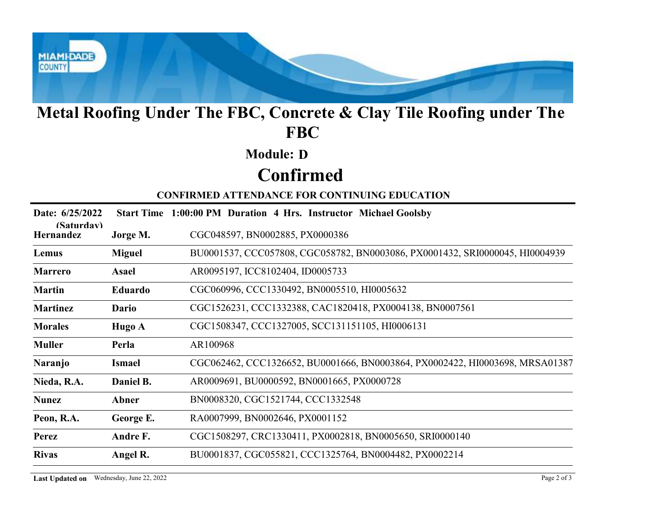

## Metal Roofing Under The FBC, Concrete & Clay Tile Roofing under The FBC

### Module: D

# Confirmed

| Metal Roofing Under The FBC, Concrete & Clay Tile Roofing under The<br><b>FBC</b> |                  |                                                                              |  |  |
|-----------------------------------------------------------------------------------|------------------|------------------------------------------------------------------------------|--|--|
|                                                                                   |                  | <b>Module: D</b>                                                             |  |  |
|                                                                                   | <b>Confirmed</b> |                                                                              |  |  |
|                                                                                   |                  | <b>CONFIRMED ATTENDANCE FOR CONTINUING EDUCATION</b>                         |  |  |
| Date: 6/25/2022                                                                   |                  | Start Time 1:00:00 PM Duration 4 Hrs. Instructor Michael Goolsby             |  |  |
| (Saturdav)<br>Hernandez                                                           | Jorge M.         | CGC048597, BN0002885, PX0000386                                              |  |  |
| Lemus                                                                             | <b>Miguel</b>    | BU0001537, CCC057808, CGC058782, BN0003086, PX0001432, SRI0000045, HI0004939 |  |  |
| <b>Marrero</b>                                                                    | <b>Asael</b>     | AR0095197, ICC8102404, ID0005733                                             |  |  |
| <b>Martin</b>                                                                     | Eduardo          | CGC060996, CCC1330492, BN0005510, HI0005632                                  |  |  |
| <b>Martinez</b>                                                                   | Dario            | CGC1526231, CCC1332388, CAC1820418, PX0004138, BN0007561                     |  |  |
| <b>Morales</b>                                                                    | Hugo A           | CGC1508347, CCC1327005, SCC131151105, HI0006131                              |  |  |
| <b>Muller</b>                                                                     | Perla            | AR100968                                                                     |  |  |
| <b>Naranjo</b>                                                                    | <b>Ismael</b>    | CGC062462, CCC1326652, BU0001666, BN0003864, PX0002422, HI0003698, MRSA01387 |  |  |
| Nieda, R.A.                                                                       | Daniel B.        | AR0009691, BU0000592, BN0001665, PX0000728                                   |  |  |
| <b>Nunez</b>                                                                      | Abner            | BN0008320, CGC1521744, CCC1332548                                            |  |  |
| Peon, R.A.                                                                        | George E.        | RA0007999, BN0002646, PX0001152                                              |  |  |
| Perez                                                                             | Andre F.         | CGC1508297, CRC1330411, PX0002818, BN0005650, SRI0000140                     |  |  |
| <b>Rivas</b>                                                                      | Angel R.         | BU0001837, CGC055821, CCC1325764, BN0004482, PX0002214                       |  |  |